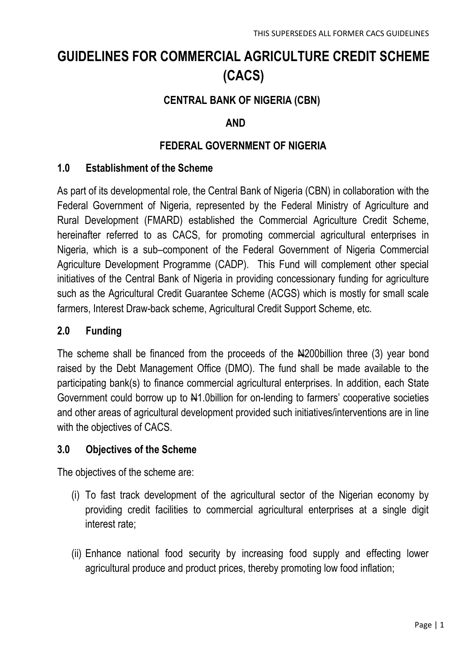# **GUIDELINES FOR COMMERCIAL AGRICULTURE CREDIT SCHEME (CACS)**

# **CENTRAL BANK OF NIGERIA (CBN)**

## **AND**

## **FEDERAL GOVERNMENT OF NIGERIA**

#### **1.0 Establishment of the Scheme**

As part of its developmental role, the Central Bank of Nigeria (CBN) in collaboration with the Federal Government of Nigeria, represented by the Federal Ministry of Agriculture and Rural Development (FMARD) established the Commercial Agriculture Credit Scheme, hereinafter referred to as CACS, for promoting commercial agricultural enterprises in Nigeria, which is a sub–component of the Federal Government of Nigeria Commercial Agriculture Development Programme (CADP). This Fund will complement other special initiatives of the Central Bank of Nigeria in providing concessionary funding for agriculture such as the Agricultural Credit Guarantee Scheme (ACGS) which is mostly for small scale farmers, Interest Draw-back scheme, Agricultural Credit Support Scheme, etc.

#### **2.0 Funding**

The scheme shall be financed from the proceeds of the Neta 200billion three (3) year bond raised by the Debt Management Office (DMO). The fund shall be made available to the participating bank(s) to finance commercial agricultural enterprises. In addition, each State Government could borrow up to  $\frac{1}{2}$ . Obillion for on-lending to farmers' cooperative societies and other areas of agricultural development provided such initiatives/interventions are in line with the objectives of CACS.

#### **3.0 Objectives of the Scheme**

The objectives of the scheme are:

- (i) To fast track development of the agricultural sector of the Nigerian economy by providing credit facilities to commercial agricultural enterprises at a single digit interest rate;
- (ii) Enhance national food security by increasing food supply and effecting lower agricultural produce and product prices, thereby promoting low food inflation;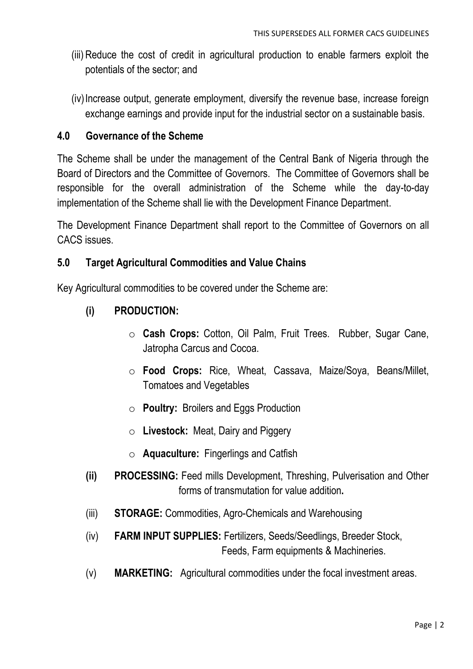- (iii) Reduce the cost of credit in agricultural production to enable farmers exploit the potentials of the sector; and
- (iv)Increase output, generate employment, diversify the revenue base, increase foreign exchange earnings and provide input for the industrial sector on a sustainable basis.

#### **4.0 Governance of the Scheme**

The Scheme shall be under the management of the Central Bank of Nigeria through the Board of Directors and the Committee of Governors. The Committee of Governors shall be responsible for the overall administration of the Scheme while the day-to-day implementation of the Scheme shall lie with the Development Finance Department.

The Development Finance Department shall report to the Committee of Governors on all CACS issues.

### **5.0 Target Agricultural Commodities and Value Chains**

Key Agricultural commodities to be covered under the Scheme are:

### **(i) PRODUCTION:**

- o **Cash Crops:** Cotton, Oil Palm, Fruit Trees. Rubber, Sugar Cane, Jatropha Carcus and Cocoa.
- o **Food Crops:** Rice, Wheat, Cassava, Maize/Soya, Beans/Millet, Tomatoes and Vegetables
- o **Poultry:** Broilers and Eggs Production
- o **Livestock:** Meat, Dairy and Piggery
- o **Aquaculture:** Fingerlings and Catfish
- **(ii) PROCESSING:** Feed mills Development, Threshing, Pulverisation and Other forms of transmutation for value addition**.**
- (iii) **STORAGE:** Commodities, Agro-Chemicals and Warehousing
- (iv) **FARM INPUT SUPPLIES:** Fertilizers, Seeds/Seedlings, Breeder Stock, Feeds, Farm equipments & Machineries.
- (v) **MARKETING:** Agricultural commodities under the focal investment areas.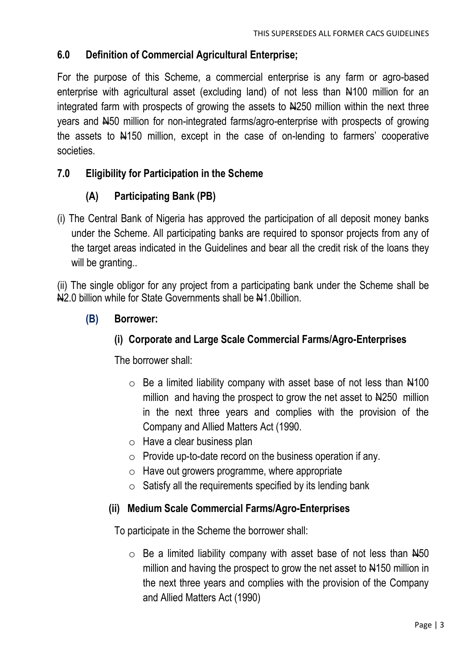## **6.0 Definition of Commercial Agricultural Enterprise;**

For the purpose of this Scheme, a commercial enterprise is any farm or agro-based enterprise with agricultural asset (excluding land) of not less than  $\mu$ 100 million for an integrated farm with prospects of growing the assets to N4250 million within the next three years and N50 million for non-integrated farms/agro-enterprise with prospects of growing the assets to N150 million, except in the case of on-lending to farmers' cooperative societies.

## **7.0 Eligibility for Participation in the Scheme**

# **(A) Participating Bank (PB)**

(i) The Central Bank of Nigeria has approved the participation of all deposit money banks under the Scheme. All participating banks are required to sponsor projects from any of the target areas indicated in the Guidelines and bear all the credit risk of the loans they will be granting..

(ii) The single obligor for any project from a participating bank under the Scheme shall be N<sub>2.0</sub> billion while for State Governments shall be N<sub>1</sub>.0billion.

### **(B) Borrower:**

## **(i) Corporate and Large Scale Commercial Farms/Agro-Enterprises**

The borrower shall:

- $\circ$  Be a limited liability company with asset base of not less than  $\frac{14100}{100}$ million and having the prospect to grow the net asset to N4250 million in the next three years and complies with the provision of the Company and Allied Matters Act (1990.
- o Have a clear business plan
- $\circ$  Provide up-to-date record on the business operation if any.
- $\circ$  Have out growers programme, where appropriate
- $\circ$  Satisfy all the requirements specified by its lending bank

#### **(ii) Medium Scale Commercial Farms/Agro-Enterprises**

To participate in the Scheme the borrower shall:

 $\circ$  Be a limited liability company with asset base of not less than  $H_{50}$ million and having the prospect to grow the net asset to  $\frac{1}{10}$  million in the next three years and complies with the provision of the Company and Allied Matters Act (1990)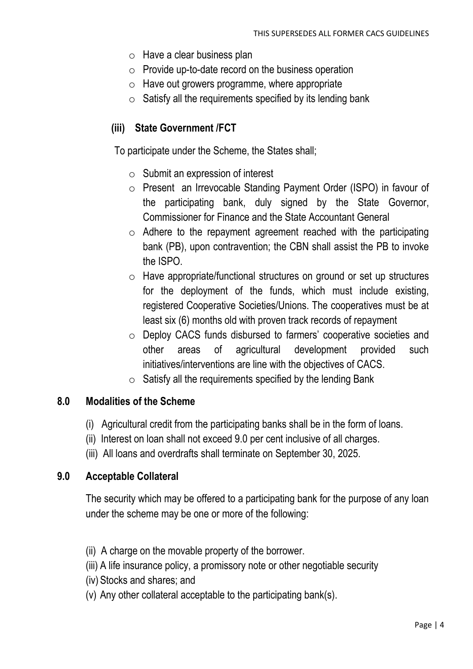- o Have a clear business plan
- $\circ$  Provide up-to-date record on the business operation
- $\circ$  Have out growers programme, where appropriate
- $\circ$  Satisfy all the requirements specified by its lending bank

# **(iii) State Government /FCT**

To participate under the Scheme, the States shall;

- $\circ$  Submit an expression of interest
- o Present an Irrevocable Standing Payment Order (ISPO) in favour of the participating bank, duly signed by the State Governor, Commissioner for Finance and the State Accountant General
- $\circ$  Adhere to the repayment agreement reached with the participating bank (PB), upon contravention; the CBN shall assist the PB to invoke the ISPO.
- o Have appropriate/functional structures on ground or set up structures for the deployment of the funds, which must include existing, registered Cooperative Societies/Unions. The cooperatives must be at least six (6) months old with proven track records of repayment
- o Deploy CACS funds disbursed to farmers' cooperative societies and other areas of agricultural development provided such initiatives/interventions are line with the objectives of CACS.
- $\circ$  Satisfy all the requirements specified by the lending Bank

#### **8.0 Modalities of the Scheme**

- (i) Agricultural credit from the participating banks shall be in the form of loans.
- (ii) Interest on loan shall not exceed 9.0 per cent inclusive of all charges.
- (iii) All loans and overdrafts shall terminate on September 30, 2025.

#### **9.0 Acceptable Collateral**

The security which may be offered to a participating bank for the purpose of any loan under the scheme may be one or more of the following:

- (ii) A charge on the movable property of the borrower.
- (iii) A life insurance policy, a promissory note or other negotiable security
- (iv) Stocks and shares; and
- (v) Any other collateral acceptable to the participating bank(s).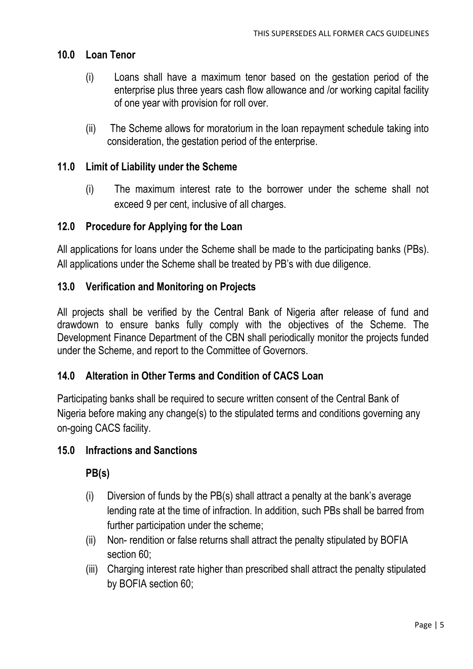## **10.0 Loan Tenor**

- (i) Loans shall have a maximum tenor based on the gestation period of the enterprise plus three years cash flow allowance and /or working capital facility of one year with provision for roll over.
- (ii) The Scheme allows for moratorium in the loan repayment schedule taking into consideration, the gestation period of the enterprise.

## **11.0 Limit of Liability under the Scheme**

(i) The maximum interest rate to the borrower under the scheme shall not exceed 9 per cent, inclusive of all charges.

### **12.0 Procedure for Applying for the Loan**

All applications for loans under the Scheme shall be made to the participating banks (PBs). All applications under the Scheme shall be treated by PB's with due diligence.

### **13.0 Verification and Monitoring on Projects**

All projects shall be verified by the Central Bank of Nigeria after release of fund and drawdown to ensure banks fully comply with the objectives of the Scheme. The Development Finance Department of the CBN shall periodically monitor the projects funded under the Scheme, and report to the Committee of Governors.

## **14.0 Alteration in Other Terms and Condition of CACS Loan**

Participating banks shall be required to secure written consent of the Central Bank of Nigeria before making any change(s) to the stipulated terms and conditions governing any on-going CACS facility.

#### **15.0 Infractions and Sanctions**

## **PB(s)**

- (i) Diversion of funds by the PB(s) shall attract a penalty at the bank's average lending rate at the time of infraction. In addition, such PBs shall be barred from further participation under the scheme;
- (ii) Non- rendition or false returns shall attract the penalty stipulated by BOFIA section 60;
- (iii) Charging interest rate higher than prescribed shall attract the penalty stipulated by BOFIA section 60;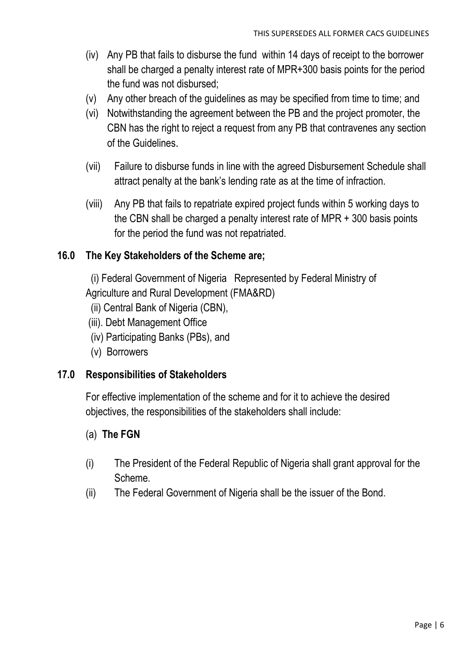- (iv) Any PB that fails to disburse the fund within 14 days of receipt to the borrower shall be charged a penalty interest rate of MPR+300 basis points for the period the fund was not disbursed;
- (v) Any other breach of the guidelines as may be specified from time to time; and
- (vi) Notwithstanding the agreement between the PB and the project promoter, the CBN has the right to reject a request from any PB that contravenes any section of the Guidelines.
- (vii) Failure to disburse funds in line with the agreed Disbursement Schedule shall attract penalty at the bank's lending rate as at the time of infraction.
- (viii) Any PB that fails to repatriate expired project funds within 5 working days to the CBN shall be charged a penalty interest rate of MPR + 300 basis points for the period the fund was not repatriated.

### **16.0 The Key Stakeholders of the Scheme are;**

 (i) Federal Government of Nigeria Represented by Federal Ministry of Agriculture and Rural Development (FMA&RD)

- (ii) Central Bank of Nigeria (CBN),
- (iii). Debt Management Office
- (iv) Participating Banks (PBs), and
- (v) Borrowers

#### **17.0 Responsibilities of Stakeholders**

For effective implementation of the scheme and for it to achieve the desired objectives, the responsibilities of the stakeholders shall include:

#### (a) **The FGN**

- (i) The President of the Federal Republic of Nigeria shall grant approval for the Scheme.
- (ii) The Federal Government of Nigeria shall be the issuer of the Bond.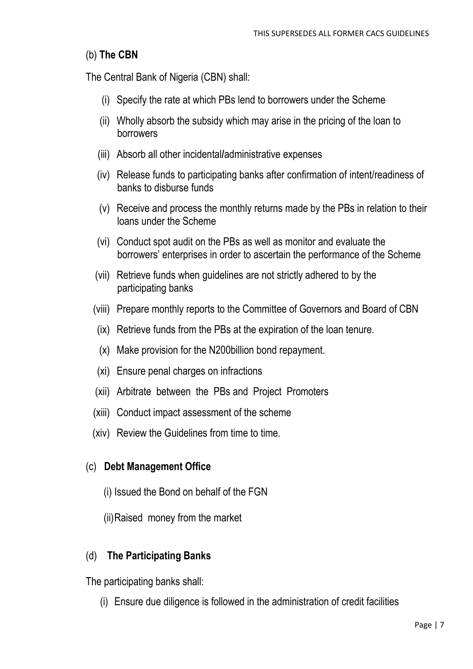## (b) **The CBN**

The Central Bank of Nigeria (CBN) shall:

- (i) Specify the rate at which PBs lend to borrowers under the Scheme
- (ii) Wholly absorb the subsidy which may arise in the pricing of the loan to borrowers
- (iii) Absorb all other incidental**/**administrative expenses
- (iv) Release funds to participating banks after confirmation of intent/readiness of banks to disburse funds
- (v) Receive and process the monthly returns made by the PBs in relation to their loans under the Scheme
- (vi) Conduct spot audit on the PBs as well as monitor and evaluate the borrowers' enterprises in order to ascertain the performance of the Scheme
- (vii) Retrieve funds when guidelines are not strictly adhered to by the participating banks
- (viii) Prepare monthly reports to the Committee of Governors and Board of CBN
- (ix) Retrieve funds from the PBs at the expiration of the loan tenure.
- (x) Make provision for the N200billion bond repayment.
- (xi) Ensure penal charges on infractions
- (xii) Arbitrate between the PBs and Project Promoters
- (xiii) Conduct impact assessment of the scheme
- (xiv) Review the Guidelines from time to time.

## (c) **Debt Management Office**

- (i) Issued the Bond on behalf of the FGN
- (ii)Raised money from the market

# (d) **The Participating Banks**

The participating banks shall:

(i) Ensure due diligence is followed in the administration of credit facilities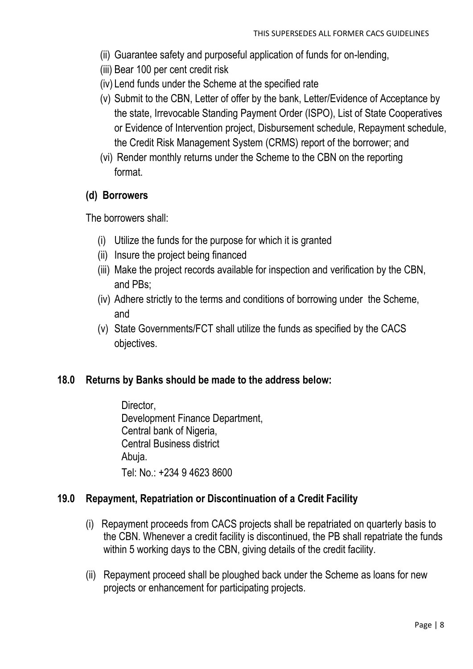- (ii) Guarantee safety and purposeful application of funds for on-lending,
- (iii) Bear 100 per cent credit risk
- (iv) Lend funds under the Scheme at the specified rate
- (v) Submit to the CBN, Letter of offer by the bank, Letter/Evidence of Acceptance by the state, Irrevocable Standing Payment Order (ISPO), List of State Cooperatives or Evidence of Intervention project, Disbursement schedule, Repayment schedule, the Credit Risk Management System (CRMS) report of the borrower; and
- (vi) Render monthly returns under the Scheme to the CBN on the reporting format.

### **(d) Borrowers**

The borrowers shall:

- (i) Utilize the funds for the purpose for which it is granted
- (ii) Insure the project being financed
- (iii) Make the project records available for inspection and verification by the CBN, and PBs;
- (iv) Adhere strictly to the terms and conditions of borrowing under the Scheme, and
- (v) State Governments/FCT shall utilize the funds as specified by the CACS objectives.

## **18.0 Returns by Banks should be made to the address below:**

Director. Development Finance Department, Central bank of Nigeria, Central Business district Abuja. Tel: No.: +234 9 4623 8600

## **19.0 Repayment, Repatriation or Discontinuation of a Credit Facility**

- (i) Repayment proceeds from CACS projects shall be repatriated on quarterly basis to the CBN. Whenever a credit facility is discontinued, the PB shall repatriate the funds within 5 working days to the CBN, giving details of the credit facility.
- (ii) Repayment proceed shall be ploughed back under the Scheme as loans for new projects or enhancement for participating projects.